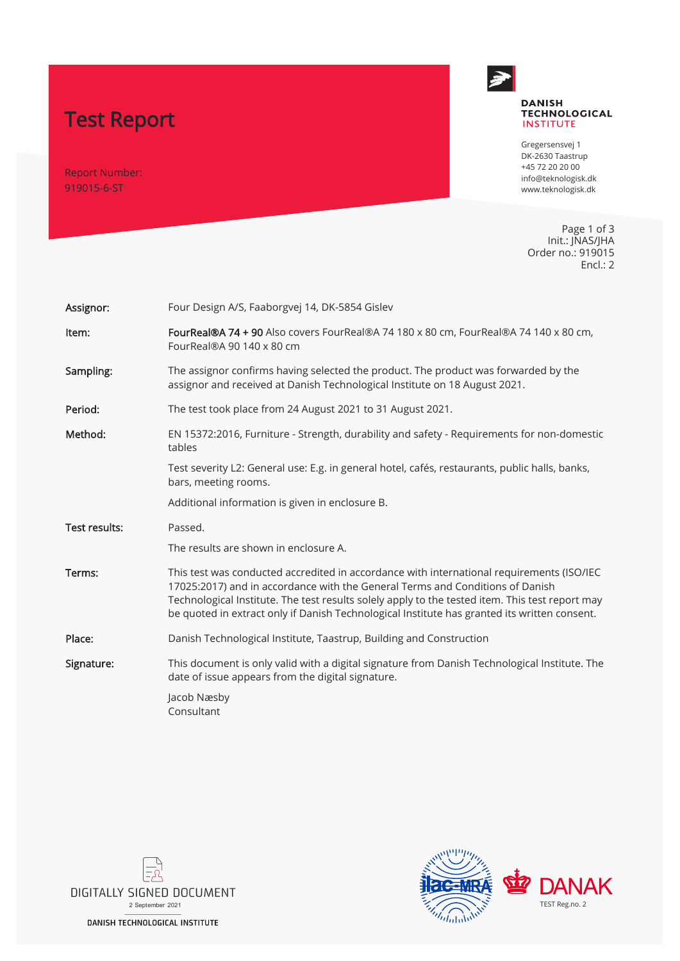# Test Report

Report Number: 919015-6-ST



#### **DANISH TECHNOLOGICAL INSTITUTE**

Gregersensvej 1 DK-2630 Taastrup +45 72 20 20 00 info@teknologisk.dk www.teknologisk.dk

Page 1 of 3 Init.: JNAS/JHA Order no.: 919015 Encl.: 2

| Assignor:     | Four Design A/S, Faaborgvej 14, DK-5854 Gislev                                                                                                                                                                                                                                                                                                                                |  |  |  |  |
|---------------|-------------------------------------------------------------------------------------------------------------------------------------------------------------------------------------------------------------------------------------------------------------------------------------------------------------------------------------------------------------------------------|--|--|--|--|
| Item:         | FourReal®A 74 + 90 Also covers FourReal®A 74 180 x 80 cm, FourReal®A 74 140 x 80 cm,<br>FourReal®A 90 140 x 80 cm                                                                                                                                                                                                                                                             |  |  |  |  |
| Sampling:     | The assignor confirms having selected the product. The product was forwarded by the<br>assignor and received at Danish Technological Institute on 18 August 2021.                                                                                                                                                                                                             |  |  |  |  |
| Period:       | The test took place from 24 August 2021 to 31 August 2021.                                                                                                                                                                                                                                                                                                                    |  |  |  |  |
| Method:       | EN 15372:2016, Furniture - Strength, durability and safety - Requirements for non-domestic<br>tables                                                                                                                                                                                                                                                                          |  |  |  |  |
|               | Test severity L2: General use: E.g. in general hotel, cafés, restaurants, public halls, banks,<br>bars, meeting rooms.                                                                                                                                                                                                                                                        |  |  |  |  |
|               | Additional information is given in enclosure B.                                                                                                                                                                                                                                                                                                                               |  |  |  |  |
|               |                                                                                                                                                                                                                                                                                                                                                                               |  |  |  |  |
| Test results: | Passed.                                                                                                                                                                                                                                                                                                                                                                       |  |  |  |  |
|               | The results are shown in enclosure A.                                                                                                                                                                                                                                                                                                                                         |  |  |  |  |
| Terms:        | This test was conducted accredited in accordance with international requirements (ISO/IEC<br>17025:2017) and in accordance with the General Terms and Conditions of Danish<br>Technological Institute. The test results solely apply to the tested item. This test report may<br>be quoted in extract only if Danish Technological Institute has granted its written consent. |  |  |  |  |
| Place:        | Danish Technological Institute, Taastrup, Building and Construction                                                                                                                                                                                                                                                                                                           |  |  |  |  |
| Signature:    | This document is only valid with a digital signature from Danish Technological Institute. The<br>date of issue appears from the digital signature.                                                                                                                                                                                                                            |  |  |  |  |



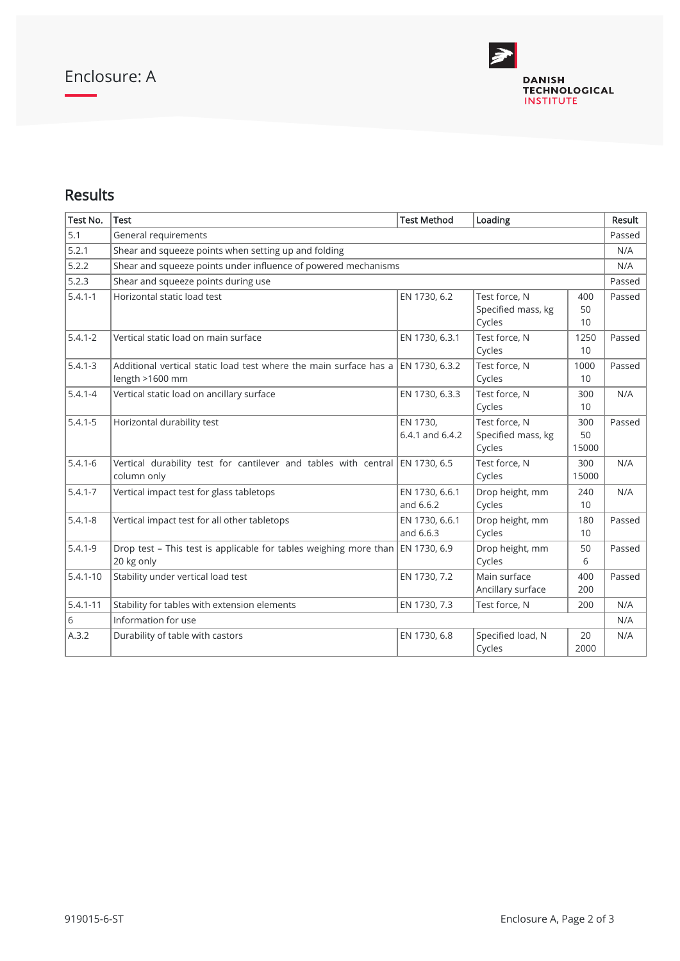

## Results

| Test No.     | <b>Test</b>                                                                                     | <b>Test Method</b>          | Loading                                       |                    | Result |  |  |
|--------------|-------------------------------------------------------------------------------------------------|-----------------------------|-----------------------------------------------|--------------------|--------|--|--|
| 5.1          | General requirements                                                                            |                             |                                               |                    |        |  |  |
| 5.2.1        | Shear and squeeze points when setting up and folding                                            |                             |                                               |                    |        |  |  |
| 5.2.2        | Shear and squeeze points under influence of powered mechanisms                                  |                             |                                               |                    |        |  |  |
| 5.2.3        | Shear and squeeze points during use<br>Passed                                                   |                             |                                               |                    |        |  |  |
| $5.4.1 - 1$  | Horizontal static load test                                                                     | EN 1730, 6.2                | Test force, N<br>Specified mass, kg<br>Cycles | 400<br>50<br>10    | Passed |  |  |
| $5.4.1 - 2$  | Vertical static load on main surface                                                            | EN 1730, 6.3.1              | Test force, N<br>Cycles                       | 1250<br>10         | Passed |  |  |
| $5.4.1 - 3$  | Additional vertical static load test where the main surface has a<br>length >1600 mm            | EN 1730, 6.3.2              | Test force, N<br>Cycles                       | 1000<br>10         | Passed |  |  |
| $5.4.1 - 4$  | Vertical static load on ancillary surface                                                       | EN 1730, 6.3.3              | Test force. N<br>Cycles                       | 300<br>10          | N/A    |  |  |
| $5.4.1 - 5$  | Horizontal durability test                                                                      | EN 1730,<br>6.4.1 and 6.4.2 | Test force, N<br>Specified mass, kg<br>Cycles | 300<br>50<br>15000 | Passed |  |  |
| $5.4.1 - 6$  | Vertical durability test for cantilever and tables with central $ EN 1730, 6.5$<br>column only  |                             | Test force, N<br>Cycles                       | 300<br>15000       | N/A    |  |  |
| $5.4.1 - 7$  | Vertical impact test for glass tabletops                                                        | EN 1730, 6.6.1<br>and 6.6.2 | Drop height, mm<br>Cycles                     | 240<br>10          | N/A    |  |  |
| $5.4.1 - 8$  | Vertical impact test for all other tabletops                                                    | EN 1730, 6.6.1<br>and 6.6.3 | Drop height, mm<br>Cycles                     | 180<br>10          | Passed |  |  |
| $5.4.1 - 9$  | Drop test - This test is applicable for tables weighing more than $ EN 1730, 6.9$<br>20 kg only |                             | Drop height, mm<br>Cycles                     | 50<br>6            | Passed |  |  |
| $5.4.1 - 10$ | Stability under vertical load test                                                              | EN 1730, 7.2                | Main surface<br>Ancillary surface             | 400<br>200         | Passed |  |  |
| $5.4.1 - 11$ | Stability for tables with extension elements                                                    | EN 1730, 7.3                | Test force, N                                 | 200                | N/A    |  |  |
| 6            | Information for use                                                                             |                             |                                               |                    |        |  |  |
| A.3.2        | Durability of table with castors                                                                | EN 1730, 6.8                | Specified load, N<br>Cycles                   | 20<br>2000         | N/A    |  |  |